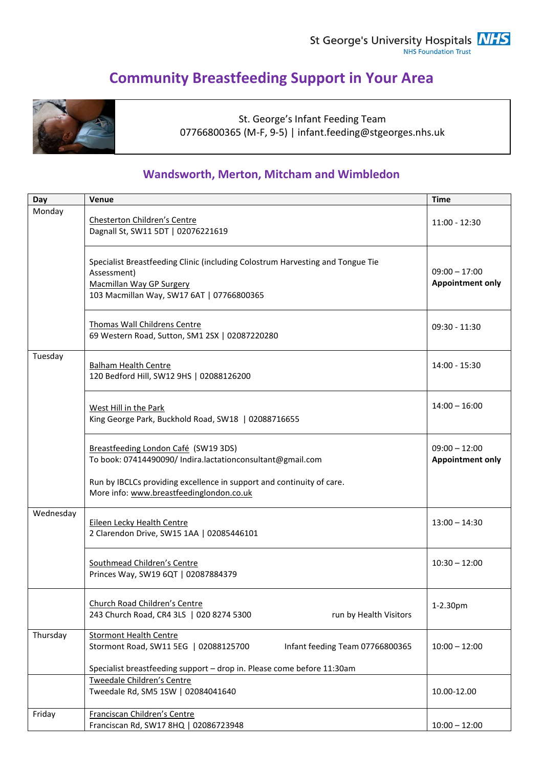# **Community Breastfeeding Support in Your Area**



St. George's Infant Feeding Team 07766800365 (M-F, 9-5) | infant.feeding@stgeorges.nhs.uk

# **Wandsworth, Merton, Mitcham and Wimbledon**

| Day       | Venue                                                                                                                                                                               | <b>Time</b>     |  |  |
|-----------|-------------------------------------------------------------------------------------------------------------------------------------------------------------------------------------|-----------------|--|--|
| Monday    | Chesterton Children's Centre<br>Dagnall St, SW11 5DT   02076221619                                                                                                                  | $11:00 - 12:30$ |  |  |
|           | Specialist Breastfeeding Clinic (including Colostrum Harvesting and Tongue Tie<br>Assessment)<br><b>Macmillan Way GP Surgery</b><br>103 Macmillan Way, SW17 6AT   07766800365       |                 |  |  |
|           | Thomas Wall Childrens Centre<br>69 Western Road, Sutton, SM1 2SX   02087220280                                                                                                      | $09:30 - 11:30$ |  |  |
| Tuesday   | <b>Balham Health Centre</b><br>120 Bedford Hill, SW12 9HS   02088126200                                                                                                             | 14:00 - 15:30   |  |  |
|           | West Hill in the Park<br>King George Park, Buckhold Road, SW18   02088716655                                                                                                        |                 |  |  |
|           | Breastfeeding London Café (SW19 3DS)<br>To book: 07414490090/ Indira.lactationconsultant@gmail.com                                                                                  |                 |  |  |
|           | Run by IBCLCs providing excellence in support and continuity of care.<br>More info: www.breastfeedinglondon.co.uk                                                                   |                 |  |  |
| Wednesday | <b>Eileen Lecky Health Centre</b><br>2 Clarendon Drive, SW15 1AA   02085446101                                                                                                      | $13:00 - 14:30$ |  |  |
|           | Southmead Children's Centre<br>Princes Way, SW19 6QT   02087884379                                                                                                                  | $10:30 - 12:00$ |  |  |
|           | Church Road Children's Centre<br>243 Church Road, CR4 3LS   020 8274 5300<br>run by Health Visitors                                                                                 | 1-2.30pm        |  |  |
| Thursday  | <b>Stormont Health Centre</b><br>Stormont Road, SW11 5EG   02088125700<br>Infant feeding Team 07766800365<br>Specialist breastfeeding support - drop in. Please come before 11:30am | $10:00 - 12:00$ |  |  |
|           | Tweedale Children's Centre<br>Tweedale Rd, SM5 1SW   02084041640                                                                                                                    | 10.00-12.00     |  |  |
| Friday    | Franciscan Children's Centre<br>Franciscan Rd, SW17 8HQ   02086723948                                                                                                               | $10:00 - 12:00$ |  |  |